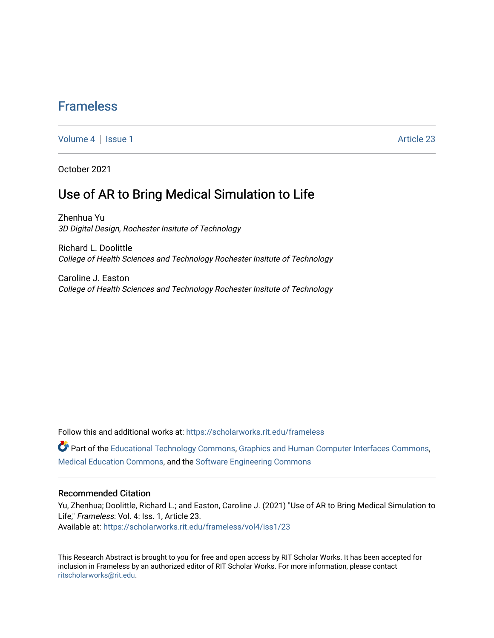## [Frameless](https://scholarworks.rit.edu/frameless)

[Volume 4](https://scholarworks.rit.edu/frameless/vol4) | [Issue 1](https://scholarworks.rit.edu/frameless/vol4/iss1) Article 23

October 2021

## Use of AR to Bring Medical Simulation to Life

Zhenhua Yu 3D Digital Design, Rochester Insitute of Technology

Richard L. Doolittle College of Health Sciences and Technology Rochester Insitute of Technology

Caroline J. Easton College of Health Sciences and Technology Rochester Insitute of Technology

Follow this and additional works at: [https://scholarworks.rit.edu/frameless](https://scholarworks.rit.edu/frameless?utm_source=scholarworks.rit.edu%2Fframeless%2Fvol4%2Fiss1%2F23&utm_medium=PDF&utm_campaign=PDFCoverPages)

Part of the [Educational Technology Commons,](https://network.bepress.com/hgg/discipline/1415?utm_source=scholarworks.rit.edu%2Fframeless%2Fvol4%2Fiss1%2F23&utm_medium=PDF&utm_campaign=PDFCoverPages) [Graphics and Human Computer Interfaces Commons,](https://network.bepress.com/hgg/discipline/146?utm_source=scholarworks.rit.edu%2Fframeless%2Fvol4%2Fiss1%2F23&utm_medium=PDF&utm_campaign=PDFCoverPages) [Medical Education Commons,](https://network.bepress.com/hgg/discipline/1125?utm_source=scholarworks.rit.edu%2Fframeless%2Fvol4%2Fiss1%2F23&utm_medium=PDF&utm_campaign=PDFCoverPages) and the [Software Engineering Commons](https://network.bepress.com/hgg/discipline/150?utm_source=scholarworks.rit.edu%2Fframeless%2Fvol4%2Fiss1%2F23&utm_medium=PDF&utm_campaign=PDFCoverPages) 

#### Recommended Citation

Yu, Zhenhua; Doolittle, Richard L.; and Easton, Caroline J. (2021) "Use of AR to Bring Medical Simulation to Life," Frameless: Vol. 4: Iss. 1, Article 23. Available at: [https://scholarworks.rit.edu/frameless/vol4/iss1/23](https://scholarworks.rit.edu/frameless/vol4/iss1/23?utm_source=scholarworks.rit.edu%2Fframeless%2Fvol4%2Fiss1%2F23&utm_medium=PDF&utm_campaign=PDFCoverPages) 

This Research Abstract is brought to you for free and open access by RIT Scholar Works. It has been accepted for inclusion in Frameless by an authorized editor of RIT Scholar Works. For more information, please contact [ritscholarworks@rit.edu](mailto:ritscholarworks@rit.edu).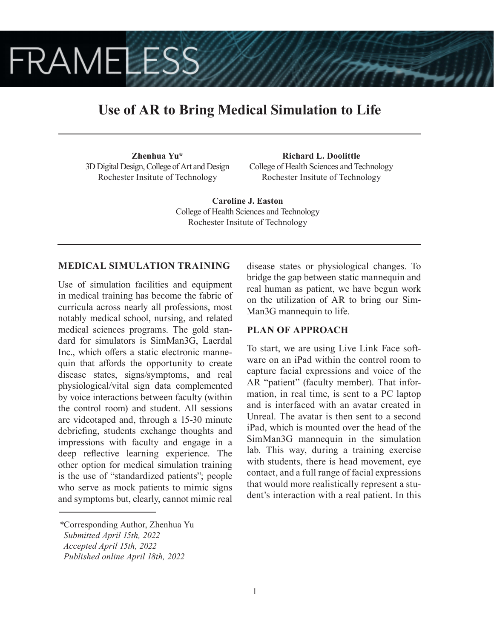# **FRAMELESS**

## **Use of AR to Bring Medical Simulation to Life**

**Zhenhua Yu\*** 3D Digital Design, College of Art and Design Rochester Insitute of Technology

**Richard L. Doolittle** College of Health Sciences and Technology Rochester Insitute of Technology

**Caroline J. Easton** College of Health Sciences and Technology Rochester Insitute of Technology

## **MEDICAL SIMULATION TRAINING**

Use of simulation facilities and equipment in medical training has become the fabric of curricula across nearly all professions, most notably medical school, nursing, and related medical sciences programs. The gold standard for simulators is SimMan3G, Laerdal Inc., which offers a static electronic mannequin that affords the opportunity to create disease states, signs/symptoms, and real physiological/vital sign data complemented by voice interactions between faculty (within the control room) and student. All sessions are videotaped and, through a 15-30 minute debriefing, students exchange thoughts and impressions with faculty and engage in a deep reflective learning experience. The other option for medical simulation training is the use of "standardized patients"; people who serve as mock patients to mimic signs and symptoms but, clearly, cannot mimic real

disease states or physiological changes. To bridge the gap between static mannequin and real human as patient, we have begun work on the utilization of AR to bring our Sim-Man3G mannequin to life.

### **PLAN OF APPROACH**

To start, we are using Live Link Face software on an iPad within the control room to capture facial expressions and voice of the AR "patient" (faculty member). That information, in real time, is sent to a PC laptop and is interfaced with an avatar created in Unreal. The avatar is then sent to a second iPad, which is mounted over the head of the SimMan3G mannequin in the simulation lab. This way, during a training exercise with students, there is head movement, eye contact, and a full range of facial expressions that would more realistically represent a student's interaction with a real patient. In this

*<sup>\*</sup>*Corresponding Author, Zhenhua Yu

*Submitted April 15th, 2022*

*Accepted April 15th, 2022*

*Published online April 18th, 2022*